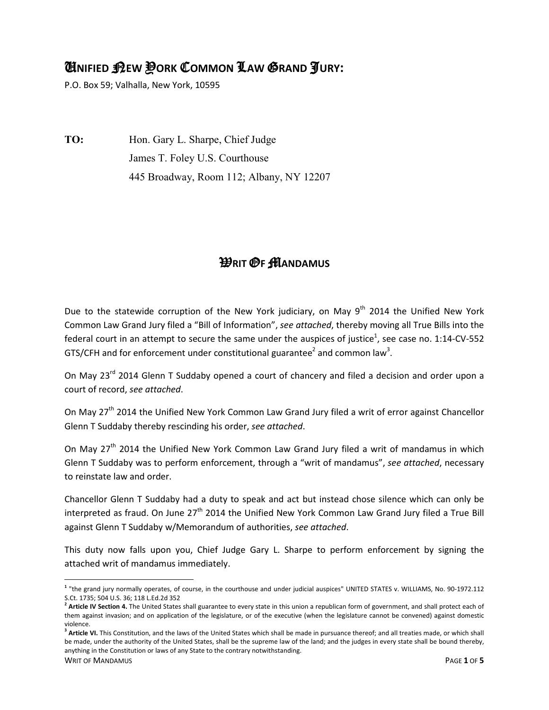## U**NIFIED** N**EW** Y**ORK** C**OMMON** L**AW** G**RAND** J**URY:**

P.O. Box 59; Valhalla, New York, 10595

**TO:** Hon. Gary L. Sharpe, Chief Judge James T. Foley U.S. Courthouse 445 Broadway, Room 112; Albany, NY 12207

## W**RIT** O**F** M**ANDAMUS**

Due to the statewide corruption of the New York judiciary, on May  $9<sup>th</sup>$  2014 the Unified New York Common Law Grand Jury filed a "Bill of Information", *see attached*, thereby moving all True Bills into the federal court in an attempt to secure the same under the auspices of justice<sup>1</sup>, see case no. 1:14-CV-552 GTS/CFH and for enforcement under constitutional guarantee<sup>2</sup> and common law<sup>3</sup>.

On May 23<sup>rd</sup> 2014 Glenn T Suddaby opened a court of chancery and filed a decision and order upon a court of record, *see attached*.

On Mav 27<sup>th</sup> 2014 the Unified New York Common Law Grand Jury filed a writ of error against Chancellor Glenn T Suddaby thereby rescinding his order, *see attached*.

On May 27<sup>th</sup> 2014 the Unified New York Common Law Grand Jury filed a writ of mandamus in which Glenn T Suddaby was to perform enforcement, through a "writ of mandamus", *see attached*, necessary to reinstate law and order.

Chancellor Glenn T Suddaby had a duty to speak and act but instead chose silence which can only be interpreted as fraud. On June 27<sup>th</sup> 2014 the Unified New York Common Law Grand Jury filed a True Bill against Glenn T Suddaby w/Memorandum of authorities, *see attached*.

This duty now falls upon you, Chief Judge Gary L. Sharpe to perform enforcement by signing the attached writ of mandamus immediately.

 $\overline{a}$ 

**<sup>1</sup>** "the grand jury normally operates, of course, in the courthouse and under judicial auspices" UNITED STATES v. WILLIAMS, No. 90-1972.112 S.Ct. 1735; 504 U.S. 36; 118 L.Ed.2d 352

<sup>&</sup>lt;sup>2</sup> Article IV Section 4. The United States shall guarantee to every state in this union a republican form of government, and shall protect each of them against invasion; and on application of the legislature, or of the executive (when the legislature cannot be convened) against domestic violence.

WRIT OF MANDAMUS PAGE **1** OF **5 <sup>3</sup> Article VI.** This Constitution, and the laws of the United States which shall be made in pursuance thereof; and all treaties made, or which shall be made, under the authority of the United States, shall be the supreme law of the land; and the judges in every state shall be bound thereby, anything in the Constitution or laws of any State to the contrary notwithstanding.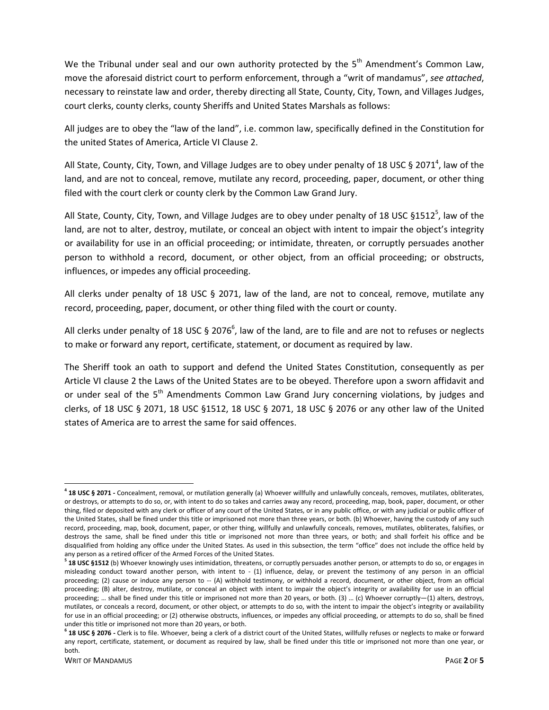We the Tribunal under seal and our own authority protected by the  $5<sup>th</sup>$  Amendment's Common Law, move the aforesaid district court to perform enforcement, through a "writ of mandamus", *see attached*, necessary to reinstate law and order, thereby directing all State, County, City, Town, and Villages Judges, court clerks, county clerks, county Sheriffs and United States Marshals as follows:

All judges are to obey the "law of the land", i.e. common law, specifically defined in the Constitution for the united States of America, Article VI Clause 2.

All State, County, City, Town, and Village Judges are to obey under penalty of 18 USC § 2071<sup>4</sup>, law of the land, and are not to conceal, remove, mutilate any record, proceeding, paper, document, or other thing filed with the court clerk or county clerk by the Common Law Grand Jury.

All State, County, City, Town, and Village Judges are to obey under penalty of 18 USC §1512<sup>5</sup>, law of the land, are not to alter, destroy, mutilate, or conceal an object with intent to impair the object's integrity or availability for use in an official proceeding; or intimidate, threaten, or corruptly persuades another person to withhold a record, document, or other object, from an official proceeding; or obstructs, influences, or impedes any official proceeding.

All clerks under penalty of 18 USC § 2071, law of the land, are not to conceal, remove, mutilate any record, proceeding, paper, document, or other thing filed with the court or county.

All clerks under penalty of 18 USC § 2076<sup>6</sup>, law of the land, are to file and are not to refuses or neglects to make or forward any report, certificate, statement, or document as required by law.

The Sheriff took an oath to support and defend the United States Constitution, consequently as per Article VI clause 2 the Laws of the United States are to be obeyed. Therefore upon a sworn affidavit and or under seal of the 5<sup>th</sup> Amendments Common Law Grand Jury concerning violations, by judges and clerks, of 18 USC § 2071, 18 USC §1512, 18 USC § 2071, 18 USC § 2076 or any other law of the United states of America are to arrest the same for said offences.

-

**<sup>4</sup> 18 USC § 2071 -** Concealment, removal, or mutilation generally (a) Whoever willfully and unlawfully conceals, removes, mutilates, obliterates, or destroys, or attempts to do so, or, with intent to do so takes and carries away any record, proceeding, map, book, paper, document, or other thing, filed or deposited with any clerk or officer of any court of the United States, or in any public office, or with any judicial or public officer of the United States, shall be fined under this title or imprisoned not more than three years, or both. (b) Whoever, having the custody of any such record, proceeding, map, book, document, paper, or other thing, willfully and unlawfully conceals, removes, mutilates, obliterates, falsifies, or destroys the same, shall be fined under this title or imprisoned not more than three years, or both; and shall forfeit his office and be disqualified from holding any office under the United States. As used in this subsection, the term "office" does not include the office held by any person as a retired officer of the Armed Forces of the United States.

**<sup>5</sup> 18 USC §1512** (b) Whoever knowingly uses intimidation, threatens, or corruptly persuades another person, or attempts to do so, or engages in misleading conduct toward another person, with intent to - (1) influence, delay, or prevent the testimony of any person in an official proceeding; (2) cause or induce any person to -- (A) withhold testimony, or withhold a record, document, or other object, from an official proceeding; (B) alter, destroy, mutilate, or conceal an object with intent to impair the object's integrity or availability for use in an official proceeding; … shall be fined under this title or imprisoned not more than 20 years, or both. (3) … (c) Whoever corruptly—(1) alters, destroys, mutilates, or conceals a record, document, or other object, or attempts to do so, with the intent to impair the object's integrity or availability for use in an official proceeding; or (2) otherwise obstructs, influences, or impedes any official proceeding, or attempts to do so, shall be fined under this title or imprisoned not more than 20 years, or both.

**<sup>6</sup> 18 USC § 2076 -** Clerk is to file. Whoever, being a clerk of a district court of the United States, willfully refuses or neglects to make or forward any report, certificate, statement, or document as required by law, shall be fined under this title or imprisoned not more than one year, or both.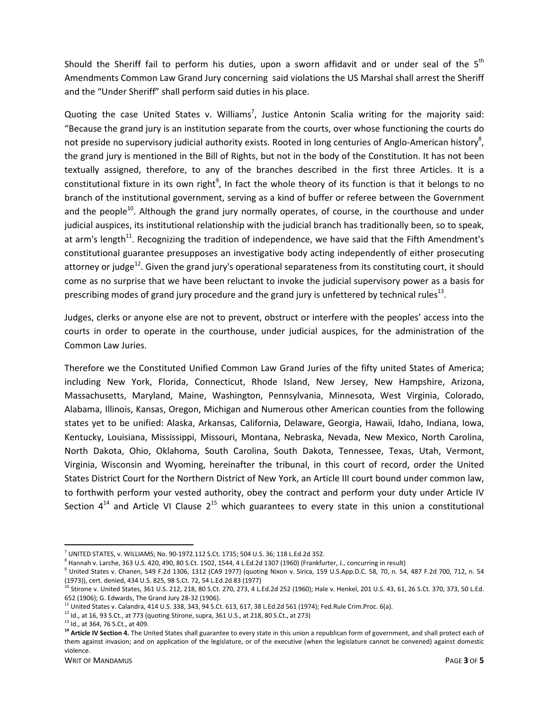Should the Sheriff fail to perform his duties, upon a sworn affidavit and or under seal of the  $5<sup>th</sup>$ Amendments Common Law Grand Jury concerning said violations the US Marshal shall arrest the Sheriff and the "Under Sheriff" shall perform said duties in his place.

Quoting the case United States v. Williams<sup>7</sup>, Justice Antonin Scalia writing for the majority said: "Because the grand jury is an institution separate from the courts, over whose functioning the courts do not preside no supervisory judicial authority exists. Rooted in long centuries of Anglo-American history<sup>8</sup>, the grand jury is mentioned in the Bill of Rights, but not in the body of the Constitution. It has not been textually assigned, therefore, to any of the branches described in the first three Articles. It is a constitutional fixture in its own right<sup>9</sup>, In fact the whole theory of its function is that it belongs to no branch of the institutional government, serving as a kind of buffer or referee between the Government and the people $10$ . Although the grand jury normally operates, of course, in the courthouse and under judicial auspices, its institutional relationship with the judicial branch has traditionally been, so to speak, at arm's length $11$ . Recognizing the tradition of independence, we have said that the Fifth Amendment's constitutional guarantee presupposes an investigative body acting independently of either prosecuting attorney or judge<sup>12</sup>. Given the grand jury's operational separateness from its constituting court, it should come as no surprise that we have been reluctant to invoke the judicial supervisory power as a basis for prescribing modes of grand jury procedure and the grand jury is unfettered by technical rules<sup>13</sup>.

Judges, clerks or anyone else are not to prevent, obstruct or interfere with the peoples' access into the courts in order to operate in the courthouse, under judicial auspices, for the administration of the Common Law Juries.

Therefore we the Constituted Unified Common Law Grand Juries of the fifty united States of America; including New York, Florida, Connecticut, Rhode Island, New Jersey, New Hampshire, Arizona, Massachusetts, Maryland, Maine, Washington, Pennsylvania, Minnesota, West Virginia, Colorado, Alabama, Illinois, Kansas, Oregon, Michigan and Numerous other American counties from the following states yet to be unified: Alaska, Arkansas, California, Delaware, Georgia, Hawaii, Idaho, Indiana, Iowa, Kentucky, Louisiana, Mississippi, Missouri, Montana, Nebraska, Nevada, New Mexico, North Carolina, North Dakota, Ohio, Oklahoma, South Carolina, South Dakota, Tennessee, Texas, Utah, Vermont, Virginia, Wisconsin and Wyoming, hereinafter the tribunal, in this court of record, order the United States District Court for the Northern District of New York, an Article III court bound under common law, to forthwith perform your vested authority, obey the contract and perform your duty under Article IV Section  $4^{14}$  and Article VI Clause  $2^{15}$  which guarantees to every state in this union a constitutional

<u>.</u>

 $^7$  UNITED STATES, v. WILLIAMS; No. 90-1972.112 S.Ct. 1735; 504 U.S. 36; 118 L.Ed.2d 352.

<sup>&</sup>lt;sup>8</sup> Hannah v. Larche, 363 U.S. 420, 490, 80 S.Ct. 1502, 1544, 4 L.Ed.2d 1307 (1960) (Frankfurter, J., concurring in result)

<sup>9</sup> United States v. Chanen, 549 F.2d 1306, 1312 (CA9 1977) (quoting Nixon v. Sirica, 159 U.S.App.D.C. 58, 70, n. 54, 487 F.2d 700, 712, n. 54 (1973)), cert. denied, 434 U.S. 825, 98 S.Ct. 72, 54 L.Ed.2d 83 (1977)

 $^{10}$  Stirone v. United States, 361 U.S. 212, 218, 80 S.Ct. 270, 273, 4 L.Ed.2d 252 (1960); Hale v. Henkel, 201 U.S. 43, 61, 26 S.Ct. 370, 373, 50 L.Ed. 652 (1906); G. Edwards, The Grand Jury 28-32 (1906).

<sup>11</sup> United States v. Calandra, 414 U.S. 338, 343, 94 S.Ct. 613, 617, 38 L.Ed.2d 561 (1974); Fed.Rule Crim.Proc. 6(a).

<sup>12</sup> Id., at 16, 93 S.Ct., at 773 (quoting Stirone, supra, 361 U.S., at 218, 80 S.Ct., at 273)

<sup>&</sup>lt;sup>13</sup> Id., at 364, 76 S.Ct., at 409.

<sup>&</sup>lt;sup>14</sup> Article IV Section 4. The United States shall guarantee to every state in this union a republican form of government, and shall protect each of them against invasion; and on application of the legislature, or of the executive (when the legislature cannot be convened) against domestic violence.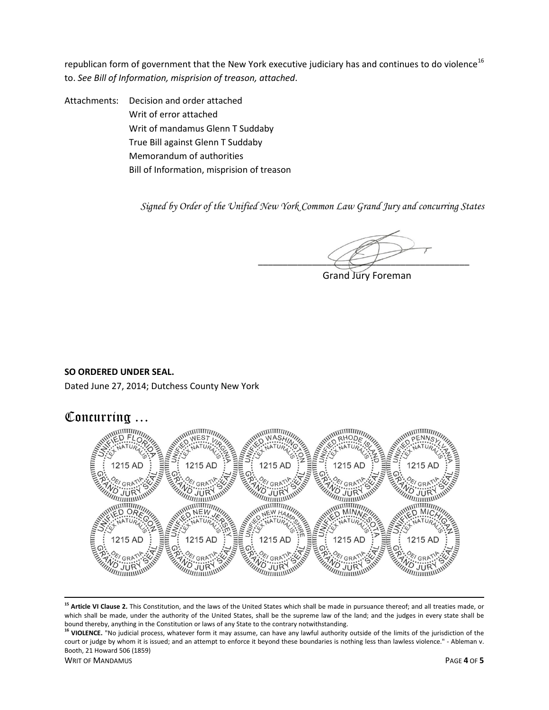republican form of government that the New York executive judiciary has and continues to do violence<sup>16</sup> to. *See Bill of Information, misprision of treason, attached*.

Attachments: Decision and order attached Writ of error attached Writ of mandamus Glenn T Suddaby True Bill against Glenn T Suddaby Memorandum of authorities Bill of Information, misprision of treason

*Signed by Order of the Unified New York Common Law Grand Jury and concurring States* 

\_\_\_\_\_\_\_\_\_\_\_\_\_\_\_\_\_\_\_\_\_\_\_\_\_\_\_\_\_\_\_\_\_\_\_\_\_\_\_\_\_\_\_

Grand Jury Foreman

## **SO ORDERED UNDER SEAL.**

Dated June 27, 2014; Dutchess County New York



 $\overline{\phantom{0}}$ **<sup>15</sup> Article VI Clause 2.** This Constitution, and the laws of the United States which shall be made in pursuance thereof; and all treaties made, or which shall be made, under the authority of the United States, shall be the supreme law of the land; and the judges in every state shall be bound thereby, anything in the Constitution or laws of any State to the contrary notwithstanding.

WRIT OF MANDAMUS PAGE **4** OF **5** <sup>16</sup> VIOLENCE. "No judicial process, whatever form it may assume, can have any lawful authority outside of the limits of the jurisdiction of the court or judge by whom it is issued; and an attempt to enforce it beyond these boundaries is nothing less than lawless violence." - Ableman v. Booth, 21 Howard 506 (1859)